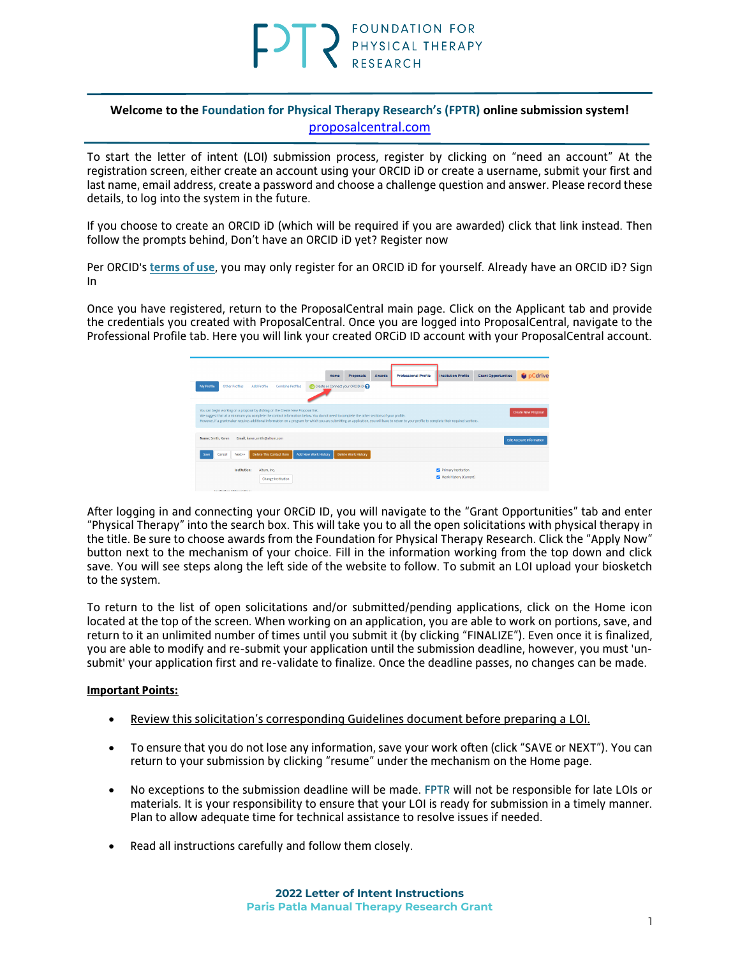#### **Welcome to the Foundation for Physical Therapy Research's (FPTR) online submission system!** [proposalcentral.com](https://proposalcentral.com/default.asp)

To start the letter of intent (LOI) submission process, register by clicking on "need an account" At the registration screen, either create an account using your ORCID iD or create a username, submit your first and last name, email address, create a password and choose a challenge question and answer. Please record these details, to log into the system in the future.

If you choose to create an ORCID iD (which will be required if you are awarded) click that link instead. Then follow the prompts behind, Don't have an ORCID iD yet? Register now

Per ORCID's **[terms of use](https://info.orcid.org/content/orcid-terms-use)**, you may only register for an ORCID iD for yourself. Already have an ORCID iD? Sign In

Once you have registered, return to the ProposalCentral main page. Click on the Applicant tab and provide the credentials you created with ProposalCentral. Once you are logged into ProposalCentral, navigate to the Professional Profile tab. Here you will link your created ORCiD ID account with your ProposalCentral account.



After logging in and connecting your ORCiD ID, you will navigate to the "Grant Opportunities" tab and enter "Physical Therapy" into the search box. This will take you to all the open solicitations with physical therapy in the title. Be sure to choose awards from the Foundation for Physical Therapy Research. Click the "Apply Now" button next to the mechanism of your choice. Fill in the information working from the top down and click save. You will see steps along the left side of the website to follow. To submit an LOI upload your biosketch to the system.

To return to the list of open solicitations and/or submitted/pending applications, click on the Home icon located at the top of the screen. When working on an application, you are able to work on portions, save, and return to it an unlimited number of times until you submit it (by clicking "FINALIZE"). Even once it is finalized, you are able to modify and re-submit your application until the submission deadline, however, you must 'unsubmit' your application first and re-validate to finalize. Once the deadline passes, no changes can be made.

#### **Important Points:**

- Review this solicitation's corresponding Guidelines document before preparing a LOI.
- To ensure that you do not lose any information, save your work often (click "SAVE or NEXT"). You can return to your submission by clicking "resume" under the mechanism on the Home page.
- No exceptions to the submission deadline will be made. FPTR will not be responsible for late LOIs or materials. It is your responsibility to ensure that your LOI is ready for submission in a timely manner. Plan to allow adequate time for technical assistance to resolve issues if needed.
- Read all instructions carefully and follow them closely.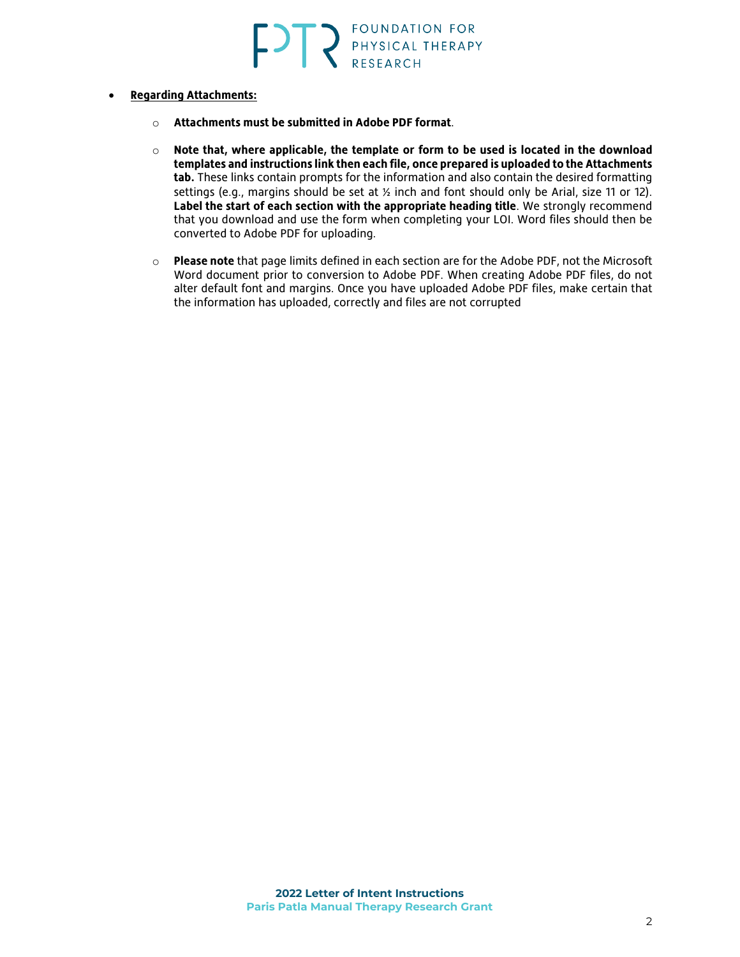- **Regarding Attachments:**
	- o **Attachments must be submitted in Adobe PDF format**.
	- o **Note that, where applicable, the template or form to be used is located in the download templates and instructions link then each file, once prepared is uploaded to the Attachments tab.** These links contain prompts for the information and also contain the desired formatting settings (e.g., margins should be set at  $\frac{1}{2}$  inch and font should only be Arial, size 11 or 12). **Label the start of each section with the appropriate heading title**. We strongly recommend that you download and use the form when completing your LOI. Word files should then be converted to Adobe PDF for uploading.
	- o **Please note** that page limits defined in each section are for the Adobe PDF, not the Microsoft Word document prior to conversion to Adobe PDF. When creating Adobe PDF files, do not alter default font and margins. Once you have uploaded Adobe PDF files, make certain that the information has uploaded, correctly and files are not corrupted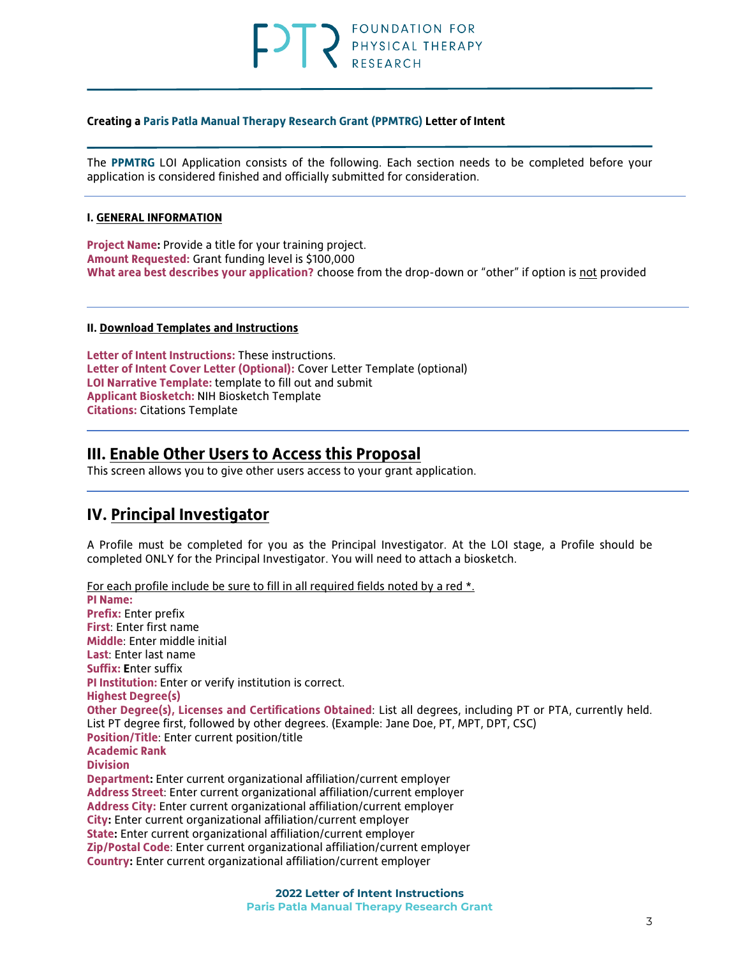#### **Creating a Paris Patla Manual Therapy Research Grant (PPMTRG) Letter of Intent**

The **PPMTRG** LOI Application consists of the following. Each section needs to be completed before your application is considered finished and officially submitted for consideration.

#### **I. GENERAL INFORMATION**

**Project Name:** Provide a title for your training project. **Amount Requested:** Grant funding level is \$100,000 **What area best describes your application?** choose from the drop-down or "other" if option is not provided

#### **II. Download Templates and Instructions**

**Letter of Intent Instructions:** These instructions. **Letter of Intent Cover Letter (Optional):** Cover Letter Template (optional) **LOI Narrative Template:** template to fill out and submit **Applicant Biosketch:** NIH Biosketch Template **Citations:** Citations Template

### **III. Enable Other Users to Access this Proposal**

This screen allows you to give other users access to your grant application.

# **IV. Principal Investigator**

A Profile must be completed for you as the Principal Investigator. At the LOI stage, a Profile should be completed ONLY for the Principal Investigator. You will need to attach a biosketch.

For each profile include be sure to fill in all required fields noted by a red \*. **PI Name: Prefix:** Enter prefix **First**: Enter first name **Middle**: Enter middle initial **Last**: Enter last name **Suffix: E**nter suffix **PI Institution:** Enter or verify institution is correct. **Highest Degree(s) Other Degree(s), Licenses and Certifications Obtained**: List all degrees, including PT or PTA, currently held. List PT degree first, followed by other degrees. (Example: Jane Doe, PT, MPT, DPT, CSC) **Position/Title**: Enter current position/title **Academic Rank Division Department:** Enter current organizational affiliation/current employer **Address Street**: Enter current organizational affiliation/current employer **Address City:** Enter current organizational affiliation/current employer **City:** Enter current organizational affiliation/current employer **State:** Enter current organizational affiliation/current employer **Zip/Postal Code**: Enter current organizational affiliation/current employer **Country:** Enter current organizational affiliation/current employer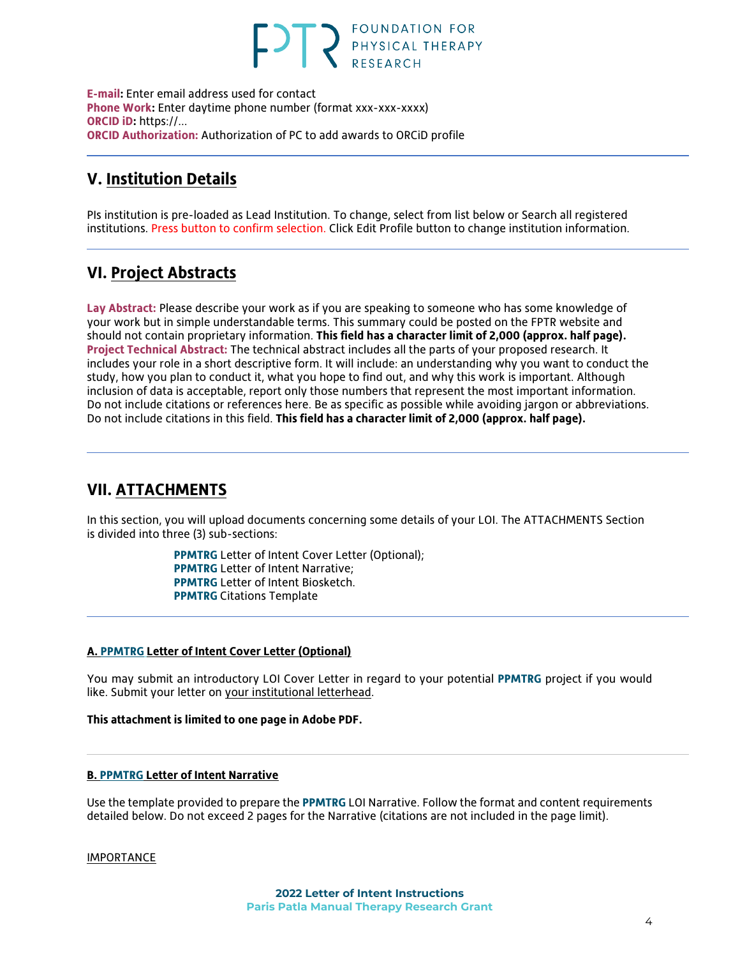# **FOUNDATION FOR** PHYSICAL THERAPY

**E-mail:** Enter email address used for contact **Phone Work:** Enter daytime phone number (format xxx-xxx-xxxx) **ORCID iD:** https://... **ORCID Authorization:** Authorization of PC to add awards to ORCiD profile

# **V. Institution Details**

PIs institution is pre-loaded as Lead Institution. To change, select from list below or Search all registered institutions. Press button to confirm selection. Click Edit Profile button to change institution information.

# **VI. Project Abstracts**

**Lay Abstract:** Please describe your work as if you are speaking to someone who has some knowledge of your work but in simple understandable terms. This summary could be posted on the FPTR website and should not contain proprietary information. **This field has a character limit of 2,000 (approx. half page). Project Technical Abstract:** The technical abstract includes all the parts of your proposed research. It includes your role in a short descriptive form. It will include: an understanding why you want to conduct the study, how you plan to conduct it, what you hope to find out, and why this work is important. Although inclusion of data is acceptable, report only those numbers that represent the most important information. Do not include citations or references here. Be as specific as possible while avoiding jargon or abbreviations. Do not include citations in this field. **This field has a character limit of 2,000 (approx. half page).**

# **VII. ATTACHMENTS**

In this section, you will upload documents concerning some details of your LOI. The ATTACHMENTS Section is divided into three (3) sub-sections:

> **PPMTRG** Letter of Intent Cover Letter (Optional); **PPMTRG** Letter of Intent Narrative; **PPMTRG** Letter of Intent Biosketch. **PPMTRG** Citations Template

#### **A. PPMTRG Letter of Intent Cover Letter (Optional)**

You may submit an introductory LOI Cover Letter in regard to your potential **PPMTRG** project if you would like. Submit your letter on your institutional letterhead.

#### **This attachment is limited to one page in Adobe PDF.**

#### **B. PPMTRG Letter of Intent Narrative**

Use the template provided to prepare the **PPMTRG** LOI Narrative. Follow the format and content requirements detailed below. Do not exceed 2 pages for the Narrative (citations are not included in the page limit).

IMPORTANCE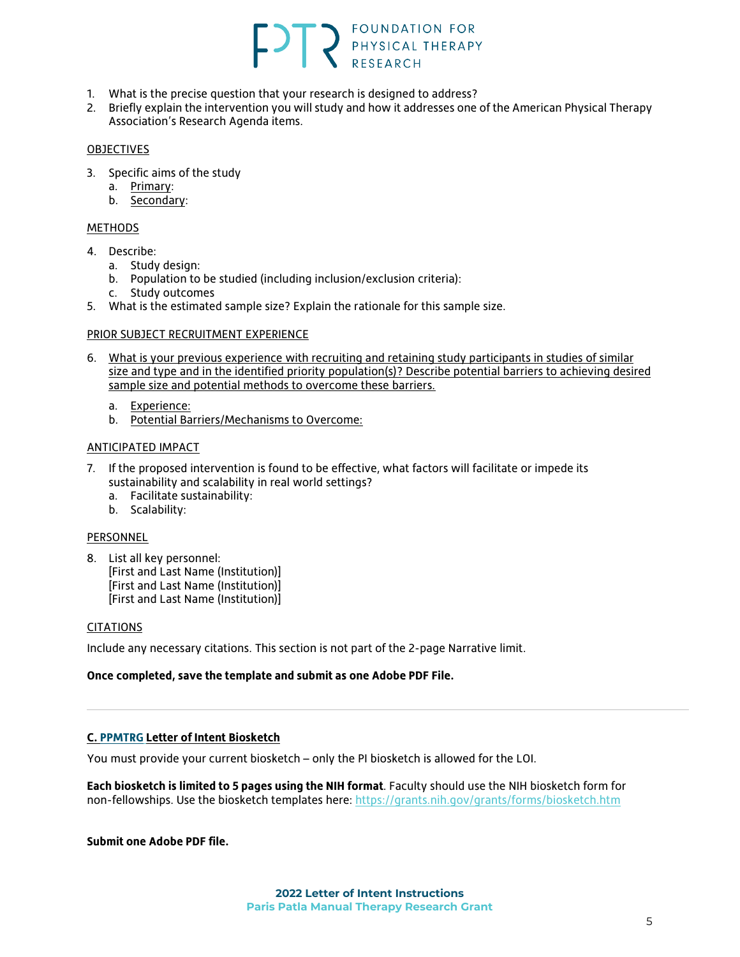- 1. What is the precise question that your research is designed to address?
- 2. Briefly explain the intervention you will study and how it addresses one of the American Physical Therapy Association's Research Agenda items.

FOUNDATION FOR PHYSICAL THERAPY

#### [OBJECTIVES](http://www.pcori.org/AppData/Local/Microsoft/Windows/AppData/Local/Microsoft/Windows/Temporary%20Internet%20Files/Content.Outlook/AppData/Local/Microsoft/Windows/AppData/Local/Microsoft/Windows/AppData/Local/Microsoft/OBJECTIVES)

- 3. Specific aims of the study
	- a. Primary:
	- b. Secondary:

#### **[METHODS](http://www.pcori.org/AppData/Local/Microsoft/Windows/AppData/Local/Microsoft/Windows/Temporary%20Internet%20Files/Content.Outlook/AppData/Local/Microsoft/Windows/AppData/Local/Microsoft/Windows/AppData/Local/Microsoft/METHODS)**

- 4. Describe:
	- a. Study design:
	- b. Population to be studied (including inclusion/exclusion criteria):
	- c. Study outcomes
- 5. What is the estimated sample size? Explain the rationale for this sample size.

#### PRIOR SUBJECT RECRUITMENT EXPERIENCE

- 6. What is your previous experience with recruiting and retaining study participants in studies of similar size and type and in the identified priority population(s)? Describe potential barriers to achieving desired sample size and potential methods to overcome these barriers.
	- a. Experience:
	- b. Potential Barriers/Mechanisms to Overcome:

#### ANTICIPATED IMPACT

- 7. If the proposed intervention is found to be effective, what factors will facilitate or impede its sustainability and scalability in real world settings?
	- a. Facilitate sustainability:
	- b. Scalability:

#### PERSONNEL

8. List all key personnel: [First and Last Name (Institution)] [First and Last Name (Institution)] [First and Last Name (Institution)]

#### **CITATIONS**

Include any necessary citations. This section is not part of the 2-page Narrative limit.

#### **Once completed, save the template and submit as one Adobe PDF File.**

#### **C. PPMTRG Letter of Intent Biosketch**

You must provide your current biosketch – only the PI biosketch is allowed for the LOI.

**Each biosketch is limited to 5 pages using the NIH format**. Faculty should use the NIH biosketch form for non-fellowships. Use the biosketch templates here:<https://grants.nih.gov/grants/forms/biosketch.htm>

#### **Submit one Adobe PDF file.**